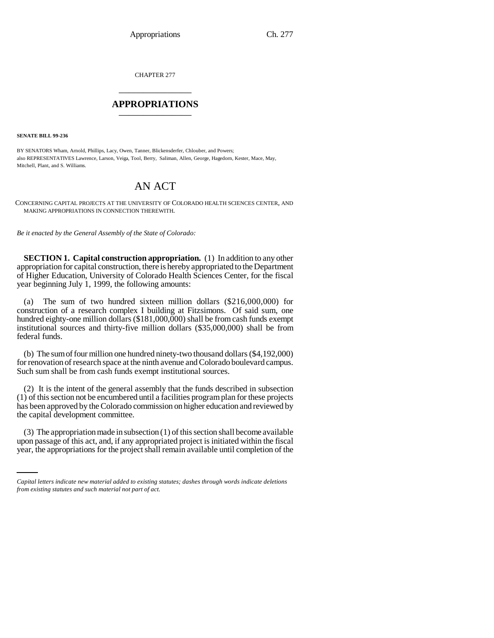CHAPTER 277 \_\_\_\_\_\_\_\_\_\_\_\_\_\_\_

## **APPROPRIATIONS** \_\_\_\_\_\_\_\_\_\_\_\_\_\_\_

**SENATE BILL 99-236** 

BY SENATORS Wham, Arnold, Phillips, Lacy, Owen, Tanner, Blickensderfer, Chlouber, and Powers; also REPRESENTATIVES Lawrence, Larson, Veiga, Tool, Berry, Saliman, Allen, George, Hagedorn, Kester, Mace, May, Mitchell, Plant, and S. Williams.

## AN ACT

CONCERNING CAPITAL PROJECTS AT THE UNIVERSITY OF COLORADO HEALTH SCIENCES CENTER, AND MAKING APPROPRIATIONS IN CONNECTION THEREWITH.

*Be it enacted by the General Assembly of the State of Colorado:*

**SECTION 1. Capital construction appropriation.** (1) In addition to any other appropriation for capital construction, there is hereby appropriated to the Department of Higher Education, University of Colorado Health Sciences Center, for the fiscal year beginning July 1, 1999, the following amounts:

(a) The sum of two hundred sixteen million dollars (\$216,000,000) for construction of a research complex I building at Fitzsimons. Of said sum, one hundred eighty-one million dollars (\$181,000,000) shall be from cash funds exempt institutional sources and thirty-five million dollars (\$35,000,000) shall be from federal funds.

(b) The sum of four million one hundred ninety-two thousand dollars (\$4,192,000) for renovation of research space at the ninth avenue and Colorado boulevard campus. Such sum shall be from cash funds exempt institutional sources.

(2) It is the intent of the general assembly that the funds described in subsection (1) of this section not be encumbered until a facilities program plan for these projects has been approved by the Colorado commission on higher education and reviewed by the capital development committee.

(3) The appropriation made in subsection (1) of this section shall become available upon passage of this act, and, if any appropriated project is initiated within the fiscal year, the appropriations for the project shall remain available until completion of the

*Capital letters indicate new material added to existing statutes; dashes through words indicate deletions from existing statutes and such material not part of act.*